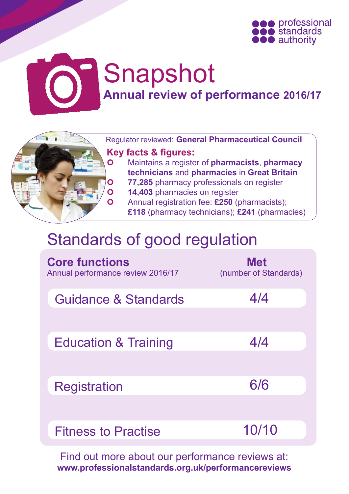



# Snapshot **Annual review of performance 2016/17**



 Regulator reviewed: **General Pharmaceutical Council Key facts & figures:**

 Maintains a register of **pharmacists**, **pharmacy technicians** and **pharmacies** in **Great Britain**

- **77,285** pharmacy professionals on register
- **14,403** pharmacies on register

 Annual registration fee: **£250** (pharmacists); **£118** (pharmacy technicians); **£241** (pharmacies)

## Standards of good regulation

| <b>Core functions</b><br>Annual performance review 2016/17 | <b>Met</b><br>(number of Standards) |
|------------------------------------------------------------|-------------------------------------|
| <b>Guidance &amp; Standards</b>                            | 4/4                                 |
| <b>Education &amp; Training</b>                            | 4/4                                 |
| <b>Registration</b>                                        | 6/6                                 |
| <b>Fitness to Practise</b>                                 | 10/10                               |

Find out more about our performance reviews at: **www.professionalstandards.org.uk/performancereviews**